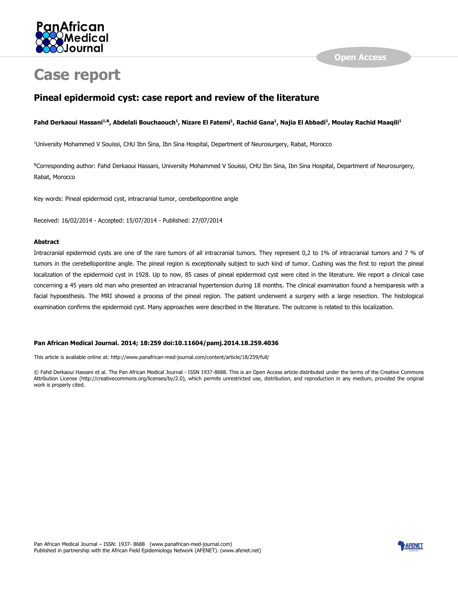

# **Case report**

# **Pineal epidermoid cyst: case report and review of the literature**

#### **Fahd Derkaoui Hassani1,&, Abdelali Bouchaouch<sup>1</sup> , Nizare El Fatemi<sup>1</sup> , Rachid Gana<sup>1</sup> , Najia El Abbadi<sup>1</sup> , Moulay Rachid Maaqili<sup>1</sup>**

<sup>1</sup>University Mohammed V Souissi, CHU Ibn Sina, Ibn Sina Hospital, Department of Neurosurgery, Rabat, Morocco

&Corresponding author: Fahd Derkaoui Hassani, University Mohammed V Souissi, CHU Ibn Sina, Ibn Sina Hospital, Department of Neurosurgery, Rabat, Morocco

Key words: Pineal epidermoid cyst, intracranial tumor, cerebellopontine angle

Received: 16/02/2014 - Accepted: 15/07/2014 - Published: 27/07/2014

#### **Abstract**

Intracranial epidermoid cysts are one of the rare tumors of all intracranial tumors. They represent 0,2 to 1% of intracranial tumors and 7 % of tumors in the cerebellopontine angle. The pineal region is exceptionally subject to such kind of tumor. Cushing was the first to report the pineal localization of the epidermoid cyst in 1928. Up to now, 85 cases of pineal epidermoid cyst were cited in the literature. We report a clinical case concerning a 45 years old man who presented an intracranial hypertension during 18 months. The clinical examination found a hemiparesis with a facial hypoesthesis. The MRI showed a process of the pineal region. The patient underwent a surgery with a large resection. The histological examination confirms the epidermoid cyst. Many approaches were described in the literature. The outcome is related to this localization.

#### **Pan African Medical Journal. 2014; 18:259 doi:10.11604/pamj.2014.18.259.4036**

This article is available online at: http://www.panafrican-med-journal.com/content/article/18/259/full/

© Fahd Derkaoui Hassani et al. The Pan African Medical Journal - ISSN 1937-8688. This is an Open Access article distributed under the terms of the Creative Commons Attribution License (http://creativecommons.org/licenses/by/2.0), which permits unrestricted use, distribution, and reproduction in any medium, provided the original work is properly cited.

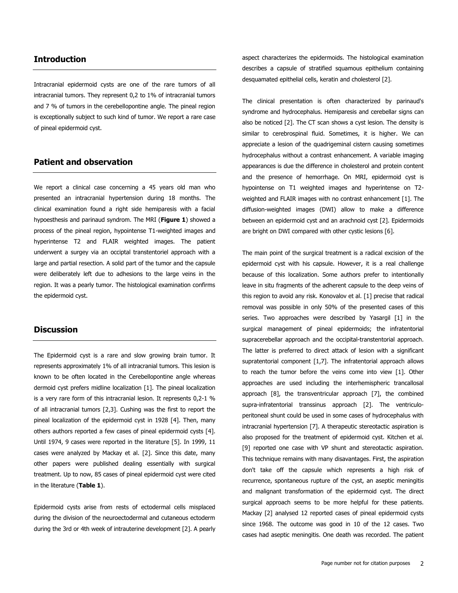#### **Introduction**

Intracranial epidermoid cysts are one of the rare tumors of all intracranial tumors. They represent 0,2 to 1% of intracranial tumors and 7 % of tumors in the cerebellopontine angle. The pineal region is exceptionally subject to such kind of tumor. We report a rare case of pineal epidermoid cyst.

## **Patient and observation**

We report a clinical case concerning a 45 years old man who presented an intracranial hypertension during 18 months. The clinical examination found a right side hemiparesis with a facial hypoesthesis and parinaud syndrom. The MRI (**[Figure 1](javascript:PopupFigure()**) showed a process of the pineal region, hypointense T1-weighted images and hyperintense T2 and FLAIR weighted images. The patient underwent a surgey via an occiptal transtentoriel approach with a large and partial resection. A solid part of the tumor and the capsule were deliberately left due to adhesions to the large veins in the region. It was a pearly tumor. The histological examination confirms the epidermoid cyst.

#### **Discussion**

The Epidermoid cyst is a rare and slow growing brain tumor. It represents approximately 1% of all intracranial tumors. This lesion is known to be often located in the Cerebellopontine angle whereas dermoid cyst prefers midline localization [\[1\]](file:///C:\Users\iamong\Desktop\PAMJ%20PDF%20files\PAMJ-18-251-300\PAMJ-18-251_300\PAMJ-18-259-article.htm%23ref1). The pineal localization is a very rare form of this intracranial lesion. It represents 0,2-1 % of all intracranial tumors [\[2](file:///C:\Users\iamong\Desktop\PAMJ%20PDF%20files\PAMJ-18-251-300\PAMJ-18-251_300\PAMJ-18-259-article.htm%23ref2)[,3\]](file:///C:\Users\iamong\Desktop\PAMJ%20PDF%20files\PAMJ-18-251-300\PAMJ-18-251_300\PAMJ-18-259-article.htm%23ref3). Cushing was the first to report the pineal localization of the epidermoid cyst in 1928 [\[4\]](file:///C:\Users\iamong\Desktop\PAMJ%20PDF%20files\PAMJ-18-251-300\PAMJ-18-251_300\PAMJ-18-259-article.htm%23ref4). Then, many others authors reported a few cases of pineal epidermoid cysts [\[4\]](file:///C:\Users\iamong\Desktop\PAMJ%20PDF%20files\PAMJ-18-251-300\PAMJ-18-251_300\PAMJ-18-259-article.htm%23ref4). Until 1974, 9 cases were reported in the literature [\[5\]](file:///C:\Users\iamong\Desktop\PAMJ%20PDF%20files\PAMJ-18-251-300\PAMJ-18-251_300\PAMJ-18-259-article.htm%23ref5). In 1999, 11 cases were analyzed by Mackay et al. [\[2\]](file:///C:\Users\iamong\Desktop\PAMJ%20PDF%20files\PAMJ-18-251-300\PAMJ-18-251_300\PAMJ-18-259-article.htm%23ref2). Since this date, many other papers were published dealing essentially with surgical treatment. Up to now, 85 cases of pineal epidermoid cyst were cited in the literature (**[Table 1](javascript:void(0))**).

Epidermoid cysts arise from rests of ectodermal cells misplaced during the division of the neuroectodermal and cutaneous ectoderm during the 3rd or 4th week of intrauterine development [\[2\]](file:///C:\Users\iamong\Desktop\PAMJ%20PDF%20files\PAMJ-18-251-300\PAMJ-18-251_300\PAMJ-18-259-article.htm%23ref2). A pearly aspect characterizes the epidermoids. The histological examination describes a capsule of stratified squamous epithelium containing desquamated epithelial cells, keratin and cholesterol [\[2\]](file:///C:\Users\iamong\Desktop\PAMJ%20PDF%20files\PAMJ-18-251-300\PAMJ-18-251_300\PAMJ-18-259-article.htm%23ref2).

The clinical presentation is often characterized by parinaud's syndrome and hydrocephalus. Hemiparesis and cerebellar signs can also be noticed [\[2\]](file:///C:\Users\iamong\Desktop\PAMJ%20PDF%20files\PAMJ-18-251-300\PAMJ-18-251_300\PAMJ-18-259-article.htm%23ref2). The CT scan shows a cyst lesion. The density is similar to cerebrospinal fluid. Sometimes, it is higher. We can appreciate a lesion of the quadrigeminal cistern causing sometimes hydrocephalus without a contrast enhancement. A variable imaging appearances is due the difference in cholesterol and protein content and the presence of hemorrhage. On MRI, epidermoid cyst is hypointense on T1 weighted images and hyperintense on T2 weighted and FLAIR images with no contrast enhancement [\[1\]](file:///C:\Users\iamong\Desktop\PAMJ%20PDF%20files\PAMJ-18-251-300\PAMJ-18-251_300\PAMJ-18-259-article.htm%23ref1). The diffusion-weighted images (DWI) allow to make a difference between an epidermoid cyst and an arachnoid cyst [\[2\]](file:///C:\Users\iamong\Desktop\PAMJ%20PDF%20files\PAMJ-18-251-300\PAMJ-18-251_300\PAMJ-18-259-article.htm%23ref2). Epidermoids are bright on DWI compared with other cystic lesions [\[6\]](file:///C:\Users\iamong\Desktop\PAMJ%20PDF%20files\PAMJ-18-251-300\PAMJ-18-251_300\PAMJ-18-259-article.htm%23ref6).

The main point of the surgical treatment is a radical excision of the epidermoid cyst with his capsule. However, it is a real challenge because of this localization. Some authors prefer to intentionally leave in situ fragments of the adherent capsule to the deep veins of this region to avoid any risk. Konovalov et al. [\[1\]](file:///C:\Users\iamong\Desktop\PAMJ%20PDF%20files\PAMJ-18-251-300\PAMJ-18-251_300\PAMJ-18-259-article.htm%23ref1) precise that radical removal was possible in only 50% of the presented cases of this series. Two approaches were described by Yasargil [\[1\]](file:///C:\Users\iamong\Desktop\PAMJ%20PDF%20files\PAMJ-18-251-300\PAMJ-18-251_300\PAMJ-18-259-article.htm%23ref1) in the surgical management of pineal epidermoids; the infratentorial supracerebellar approach and the occipital-transtentorial approach. The latter is preferred to direct attack of lesion with a significant supratentorial component [\[1](file:///C:\Users\iamong\Desktop\PAMJ%20PDF%20files\PAMJ-18-251-300\PAMJ-18-251_300\PAMJ-18-259-article.htm%23ref1)[,7\]](file:///C:\Users\iamong\Desktop\PAMJ%20PDF%20files\PAMJ-18-251-300\PAMJ-18-251_300\PAMJ-18-259-article.htm%23ref7). The infratentorial approach allows to reach the tumor before the veins come into view [\[1\]](file:///C:\Users\iamong\Desktop\PAMJ%20PDF%20files\PAMJ-18-251-300\PAMJ-18-251_300\PAMJ-18-259-article.htm%23ref1). Other approaches are used including the interhemispheric trancallosal approach [\[8\]](file:///C:\Users\iamong\Desktop\PAMJ%20PDF%20files\PAMJ-18-251-300\PAMJ-18-251_300\PAMJ-18-259-article.htm%23ref8), the transventricular approach [\[7\]](file:///C:\Users\iamong\Desktop\PAMJ%20PDF%20files\PAMJ-18-251-300\PAMJ-18-251_300\PAMJ-18-259-article.htm%23ref7), the combined supra-infratentorial transsinus approach [\[2\]](file:///C:\Users\iamong\Desktop\PAMJ%20PDF%20files\PAMJ-18-251-300\PAMJ-18-251_300\PAMJ-18-259-article.htm%23ref2). The ventriculoperitoneal shunt could be used in some cases of hydrocephalus with intracranial hypertension [\[7\]](file:///C:\Users\iamong\Desktop\PAMJ%20PDF%20files\PAMJ-18-251-300\PAMJ-18-251_300\PAMJ-18-259-article.htm%23ref7). A therapeutic stereotactic aspiration is also proposed for the treatment of epidermoid cyst. Kitchen et al. [\[9\]](file:///C:\Users\iamong\Desktop\PAMJ%20PDF%20files\PAMJ-18-251-300\PAMJ-18-251_300\PAMJ-18-259-article.htm%23ref9) reported one case with VP shunt and stereotactic aspiration. This technique remains with many disavantages. First, the aspiration don't take off the capsule which represents a high risk of recurrence, spontaneous rupture of the cyst, an aseptic meningitis and malignant transformation of the epidermoid cyst. The direct surgical approach seems to be more helpful for these patients. Mackay [\[2\]](file:///C:\Users\iamong\Desktop\PAMJ%20PDF%20files\PAMJ-18-251-300\PAMJ-18-251_300\PAMJ-18-259-article.htm%23ref2) analysed 12 reported cases of pineal epidermoid cysts since 1968. The outcome was good in 10 of the 12 cases. Two cases had aseptic meningitis. One death was recorded. The patient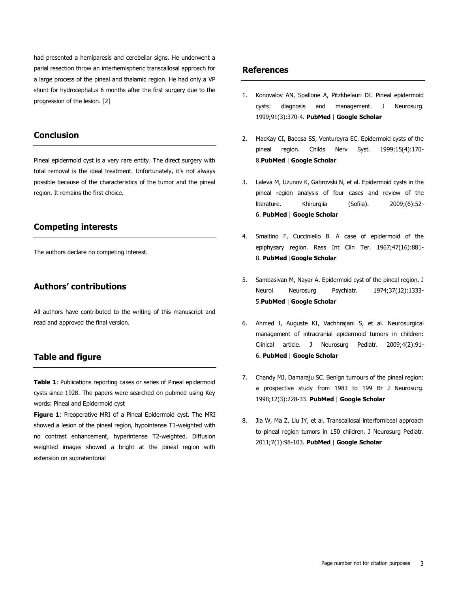had presented a hemiparesis and cerebellar signs. He underwent a parial resection throw an interhemispheric transcallosal approach for a large process of the pineal and thalamic region. He had only a VP shunt for hydrocephalus 6 months after the first surgery due to the progression of the lesion. [\[2\]](file:///C:\Users\iamong\Desktop\PAMJ%20PDF%20files\PAMJ-18-251-300\PAMJ-18-251_300\PAMJ-18-259-article.htm%23ref2)

# **Conclusion**

Pineal epidermoid cyst is a very rare entity. The direct surgery with total removal is the ideal treatment. Unfortunately, it's not always possible because of the characteristics of the tumor and the pineal region. It remains the first choice.

#### **Competing interests**

The authors declare no competing interest.

### **Authors' contributions**

All authors have contributed to the writing of this manuscript and read and approved the final version.

### **Table and figure**

**[Table 1](javascript:void(0))**: Publications reporting cases or series of Pineal epidermoid cysts since 1928. The papers were searched on pubmed using Key words: Pineal and Epidermoid cyst

**[Figure 1](javascript:PopupFigure()**: Preoperative MRI of a Pineal Epidermoid cyst. The MRI showed a lesion of the pineal region, hypointense T1-weighted with no contrast enhancement, hyperintense T2-weighted. Diffusion weighted images showed a bright at the pineal region with extension on supratentorial

#### **References**

- 1. Konovalov AN, Spallone A, Pitzkhelauri DI. Pineal epidermoid cysts: diagnosis and management. J Neurosurg. 1999;91(3):370-4. **[PubMed](http://www.ncbi.nlm.nih.gov/entrez/query.fcgi?db=PubMed&cmd=Search&doptcmdl=Citation&defaultField=Title+Word&term=Konovalov%20AN%5bauthor%5d+AND++Pineal+epidermoid+cysts:+diagnosis+and+management)** | **[Google Scholar](http://scholar.google.com/scholar?hl=en&q=+Pineal+epidermoid+cysts:+diagnosis+and+management)**
- 2. MacKay CI, Baeesa SS, Ventureyra EC. Epidermoid cysts of the pineal region. Childs Nerv Syst. 1999;15(4):170- 8.**[PubMed](http://www.ncbi.nlm.nih.gov/entrez/query.fcgi?db=PubMed&cmd=Search&doptcmdl=Citation&defaultField=Title+Word&term=MacKay%20CI%5bauthor%5d+AND++Epidermoid+cysts+of+the+pineal+region)** | **[Google Scholar](http://scholar.google.com/scholar?hl=en&q=+Epidermoid+cysts+of+the+pineal+region)**
- 3. Laleva M, Uzunov K, Gabrovski N, et al. Epidermoid cysts in the pineal region analysis of four cases and review of the literature. Khirurgiia (Sofiia). 2009;(6):52-6. **[PubMed](http://www.ncbi.nlm.nih.gov/entrez/query.fcgi?db=PubMed&cmd=Search&doptcmdl=Citation&defaultField=Title+Word&term=Laleva%20M%5bauthor%5d+AND++%5bEpidermoid+cysts+in+the+pineal+region+analysis+of+four+cases+and+review+of+the+literature%5d)** | **[Google Scholar](http://scholar.google.com/scholar?hl=en&q=+%5bEpidermoid+cysts+in+the+pineal+region+analysis+of+four+cases+and+review+of+the+literature%5d)**
- 4. Smaltino F, Cucciniello B. A case of epidermoid of the epiphysary region. Rass Int Clin Ter. 1967;47(16):881- 8. **[PubMed](http://www.ncbi.nlm.nih.gov/entrez/query.fcgi?db=PubMed&cmd=Search&doptcmdl=Citation&defaultField=Title+Word&term=Smaltino%20F%5bauthor%5d+AND++%5bA+case+of+epidermoid+of+the+epiphysary+region%5d)** |**[Google Scholar](http://scholar.google.com/scholar?hl=en&q=+%5bA+case+of+epidermoid+of+the+epiphysary+region%5d)**
- 5. Sambasivan M, Nayar A. Epidermoid cyst of the pineal region. J Neurol Neurosurg Psychiatr. 1974;37(12):1333- 5.**[PubMed](http://www.ncbi.nlm.nih.gov/entrez/query.fcgi?db=PubMed&cmd=Search&doptcmdl=Citation&defaultField=Title+Word&term=Sambasivan%20M%5bauthor%5d+AND++Epidermoid+cyst+of+the+pineal+region)** | **[Google Scholar](http://scholar.google.com/scholar?hl=en&q=+Epidermoid+cyst+of+the+pineal+region)**
- 6. Ahmed I, Auguste KI, Vachhrajani S, et al. Neurosurgical management of intracranial epidermoid tumors in children: Clinical article. J Neurosurg Pediatr. 2009;4(2):91- 6. **[PubMed](http://www.ncbi.nlm.nih.gov/entrez/query.fcgi?db=PubMed&cmd=Search&doptcmdl=Citation&defaultField=Title+Word&term=Ahmed%20I%5bauthor%5d+AND++Neurosurgical+management+of+intracranial+epidermoid+tumors+in+children:+Clinical+article)** | **[Google Scholar](http://scholar.google.com/scholar?hl=en&q=+Neurosurgical+management+of+intracranial+epidermoid+tumors+in+children:+Clinical+article)**
- 7. Chandy MJ, Damaraju SC. Benign tumours of the pineal region: a prospective study from 1983 to 199 Br J Neurosurg. 1998;12(3):228-33. **[PubMed](http://www.ncbi.nlm.nih.gov/entrez/query.fcgi?db=PubMed&cmd=Search&doptcmdl=Citation&defaultField=Title+Word&term=Chandy%20MJ%5bauthor%5d+AND++Benign+tumours+of+the+pineal+region:+a+prospective+study+from+1983+to+1997)** | **[Google Scholar](http://scholar.google.com/scholar?hl=en&q=+Benign+tumours+of+the+pineal+region:+a+prospective+study+from+1983+to+1997)**
- 8. Jia W, Ma Z, Liu IY, et al. Transcallosal interforniceal approach to pineal region tumors in 150 children. J Neurosurg Pediatr. 2011;7(1):98-103. **[PubMed](http://www.ncbi.nlm.nih.gov/entrez/query.fcgi?db=PubMed&cmd=Search&doptcmdl=Citation&defaultField=Title+Word&term=Jia%20W%5bauthor%5d+AND++Transcallosal+interforniceal+approach+to+pineal+region+tumors+in+150+children)** | **Google [Scholar](http://scholar.google.com/scholar?hl=en&q=+Transcallosal+interforniceal+approach+to+pineal+region+tumors+in+150+children)**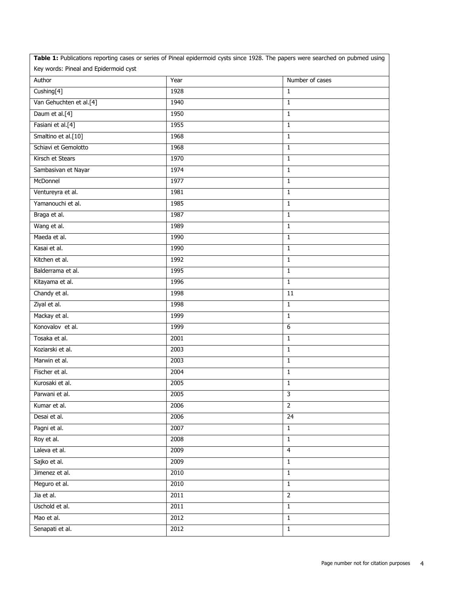| Table 1: Publications reporting cases or series of Pineal epidermoid cysts since 1928. The papers were searched on pubmed using |      |                 |
|---------------------------------------------------------------------------------------------------------------------------------|------|-----------------|
| Key words: Pineal and Epidermoid cyst                                                                                           |      |                 |
| Author                                                                                                                          | Year | Number of cases |
| Cushing[4]                                                                                                                      | 1928 | $\mathbf{1}$    |
| Van Gehuchten et al.[4]                                                                                                         | 1940 | $\mathbf{1}$    |
| Daum et al.[4]                                                                                                                  | 1950 | $\mathbf{1}$    |
| Fasiani et al.[4]                                                                                                               | 1955 | $\mathbf{1}$    |
| Smaltino et al.[10]                                                                                                             | 1968 | $\mathbf{1}$    |
| Schiavi et Gemolotto                                                                                                            | 1968 | $\mathbf{1}$    |
| Kirsch et Stears                                                                                                                | 1970 | $\mathbf{1}$    |
| Sambasivan et Nayar                                                                                                             | 1974 | $\mathbf{1}$    |
| McDonnel                                                                                                                        | 1977 | $\mathbf{1}$    |
| Ventureyra et al.                                                                                                               | 1981 | $\mathbf{1}$    |
| Yamanouchi et al.                                                                                                               | 1985 | $\mathbf{1}$    |
| Braga et al.                                                                                                                    | 1987 | $\mathbf{1}$    |
| Wang et al.                                                                                                                     | 1989 | $\mathbf{1}$    |
| Maeda et al.                                                                                                                    | 1990 | $\mathbf{1}$    |
| Kasai et al.                                                                                                                    | 1990 | $\mathbf{1}$    |
| Kitchen et al.                                                                                                                  | 1992 | $\mathbf{1}$    |
| Balderrama et al.                                                                                                               | 1995 | $\mathbf{1}$    |
| Kitayama et al.                                                                                                                 | 1996 | $\mathbf{1}$    |
| Chandy et al.                                                                                                                   | 1998 | 11              |
| Ziyal et al.                                                                                                                    | 1998 | $\mathbf{1}$    |
| Mackay et al.                                                                                                                   | 1999 | $\mathbf{1}$    |
| Konovalov et al.                                                                                                                | 1999 | 6               |
| Tosaka et al.                                                                                                                   | 2001 | $\mathbf{1}$    |
| Koziarski et al.                                                                                                                | 2003 | $\mathbf{1}$    |
| Marwin et al.                                                                                                                   | 2003 | $\mathbf{1}$    |
| Fischer et al.                                                                                                                  | 2004 | $\mathbf{1}$    |
| Kurosaki et al.                                                                                                                 | 2005 | $\mathbf{1}$    |
| Parwani et al.                                                                                                                  | 2005 | 3               |
| Kumar et al.                                                                                                                    | 2006 | $\overline{2}$  |
| Desai et al.                                                                                                                    | 2006 | $\overline{24}$ |
| Pagni et al.                                                                                                                    | 2007 | $\mathbf{1}$    |
| Roy et al.                                                                                                                      | 2008 | $\mathbf{1}$    |
| Laleva et al.                                                                                                                   | 2009 | $\overline{4}$  |
| Sajko et al.                                                                                                                    | 2009 | $\mathbf{1}$    |
| Jimenez et al.                                                                                                                  | 2010 | $\mathbf{1}$    |
| Meguro et al.                                                                                                                   | 2010 | $\mathbf{1}$    |
| Jia et al.                                                                                                                      | 2011 | $\overline{2}$  |
| Uschold et al.                                                                                                                  | 2011 | $\mathbf{1}$    |
| Mao et al.                                                                                                                      | 2012 | $\mathbf{1}$    |
| Senapati et al.                                                                                                                 | 2012 | $\overline{1}$  |